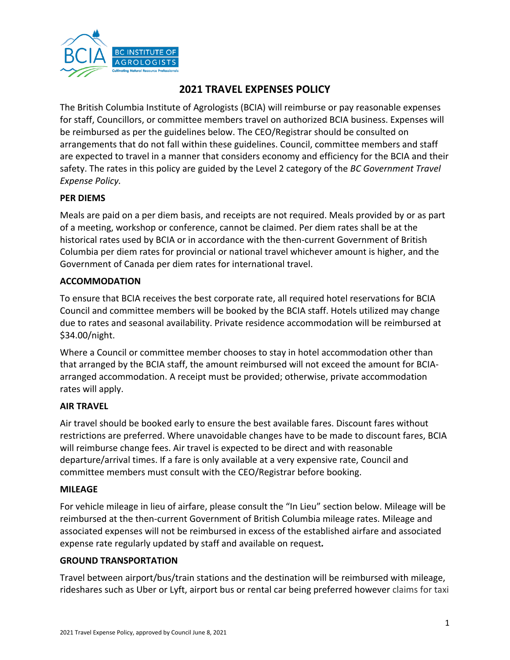

# **2021 TRAVEL EXPENSES POLICY**

The British Columbia Institute of Agrologists (BCIA) will reimburse or pay reasonable expenses for staff, Councillors, or committee members travel on authorized BCIA business. Expenses will be reimbursed as per the guidelines below. The CEO/Registrar should be consulted on arrangements that do not fall within these guidelines. Council, committee members and staff are expected to travel in a manner that considers economy and efficiency for the BCIA and their safety. The rates in this policy are guided by the Level 2 category of the *BC Government Travel Expense Policy.*

#### **PER DIEMS**

Meals are paid on a per diem basis, and receipts are not required. Meals provided by or as part of a meeting, workshop or conference, cannot be claimed. Per diem rates shall be at the historical rates used by BCIA or in accordance with the then-current Government of British Columbia per diem rates for provincial or national travel whichever amount is higher, and the Government of Canada per diem rates for international travel.

#### **ACCOMMODATION**

To ensure that BCIA receives the best corporate rate, all required hotel reservations for BCIA Council and committee members will be booked by the BCIA staff. Hotels utilized may change due to rates and seasonal availability. Private residence accommodation will be reimbursed at \$34.00/night.

Where a Council or committee member chooses to stay in hotel accommodation other than that arranged by the BCIA staff, the amount reimbursed will not exceed the amount for BCIAarranged accommodation. A receipt must be provided; otherwise, private accommodation rates will apply.

### **AIR TRAVEL**

Air travel should be booked early to ensure the best available fares. Discount fares without restrictions are preferred. Where unavoidable changes have to be made to discount fares, BCIA will reimburse change fees. Air travel is expected to be direct and with reasonable departure/arrival times. If a fare is only available at a very expensive rate, Council and committee members must consult with the CEO/Registrar before booking.

#### **MILEAGE**

For vehicle mileage in lieu of airfare, please consult the "In Lieu" section below. Mileage will be reimbursed at the then-current Government of British Columbia mileage rates. Mileage and associated expenses will not be reimbursed in excess of the established airfare and associated expense rate regularly updated by staff and available on request*.*

#### **GROUND TRANSPORTATION**

Travel between airport/bus/train stations and the destination will be reimbursed with mileage, rideshares such as Uber or Lyft, airport bus or rental car being preferred however claims for taxi